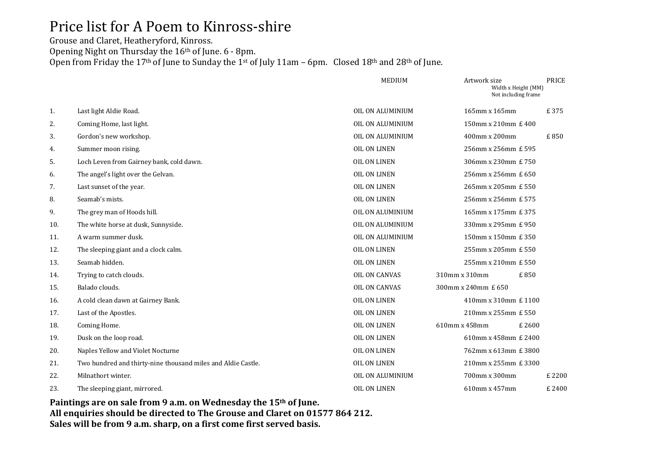## Price list for A Poem to Kinross-shire

Grouse and Claret, Heatheryford, Kinross. Opening Night on Thursday the 16th of June. 6 - 8pm. Open from Friday the 17<sup>th</sup> of June to Sunday the 1<sup>st</sup> of July 11am – 6pm. Closed 18<sup>th</sup> and 28<sup>th</sup> of June.

|     |                                                              | <b>MEDIUM</b>        | Artwork size        | Width x Height (MM)<br>Not including frame | <b>PRICE</b> |
|-----|--------------------------------------------------------------|----------------------|---------------------|--------------------------------------------|--------------|
| 1.  | Last light Aldie Road.                                       | OIL ON ALUMINIUM     | 165mm x 165mm       |                                            | £375         |
| 2.  | Coming Home, last light.                                     | OIL ON ALUMINIUM     |                     | 150mm x 210mm £ 400                        |              |
| 3.  | Gordon's new workshop.                                       | OIL ON ALUMINIUM     | 400mm x 200mm       |                                            | £850         |
| 4.  | Summer moon rising.                                          | <b>OIL ON LINEN</b>  |                     | 256mm x 256mm £ 595                        |              |
| 5.  | Loch Leven from Gairney bank, cold dawn.                     | <b>OIL ON LINEN</b>  |                     | 306mm x 230mm £ 750                        |              |
| 6.  | The angel's light over the Gelvan.                           | <b>OIL ON LINEN</b>  |                     | 256mm x 256mm £ 650                        |              |
| 7.  | Last sunset of the year.                                     | <b>OIL ON LINEN</b>  |                     | 265mm x 205mm £ 550                        |              |
| 8.  | Seamab's mists.                                              | OIL ON LINEN         |                     | 256mm x 256mm £ 575                        |              |
| 9.  | The grey man of Hoods hill.                                  | OIL ON ALUMINIUM     |                     | 165mm x 175mm £ 375                        |              |
| 10. | The white horse at dusk, Sunnyside.                          | OIL ON ALUMINIUM     |                     | 330mm x 295mm £ 950                        |              |
| 11. | A warm summer dusk.                                          | OIL ON ALUMINIUM     |                     | 150mm x 150mm £ 350                        |              |
| 12. | The sleeping giant and a clock calm.                         | <b>OIL ON LINEN</b>  |                     | 255mm x 205mm £ 550                        |              |
| 13. | Seamab hidden.                                               | <b>OIL ON LINEN</b>  |                     | 255mm x 210mm £ 550                        |              |
| 14. | Trying to catch clouds.                                      | <b>OIL ON CANVAS</b> | 310mm x 310mm       | £850                                       |              |
| 15. | Balado clouds.                                               | <b>OIL ON CANVAS</b> | 300mm x 240mm £ 650 |                                            |              |
| 16. | A cold clean dawn at Gairney Bank.                           | <b>OIL ON LINEN</b>  |                     | 410mm x 310mm £ 1100                       |              |
| 17. | Last of the Apostles.                                        | OIL ON LINEN         |                     | 210mm x 255mm £ 550                        |              |
| 18. | Coming Home.                                                 | OIL ON LINEN         | 610mm x 458mm       | £2600                                      |              |
| 19. | Dusk on the loop road.                                       | OIL ON LINEN         |                     | 610mm x 458mm £ 2400                       |              |
| 20. | Naples Yellow and Violet Nocturne                            | <b>OIL ON LINEN</b>  |                     | 762mm x 613mm £ 3800                       |              |
| 21. | Two hundred and thirty-nine thousand miles and Aldie Castle. | OIL ON LINEN         |                     | 210mm x 255mm £ 3300                       |              |
| 22. | Milnathort winter.                                           | OIL ON ALUMINIUM     | 700mm x 300mm       |                                            | £ 2200       |
| 23. | The sleeping giant, mirrored.                                | <b>OIL ON LINEN</b>  | 610mm x 457mm       |                                            | £2400        |

**Paintings are on sale from 9 a.m. on Wednesday the 15th of June. All enquiries should be directed to The Grouse and Claret on 01577 864 212. Sales will be from 9 a.m. sharp, on a first come first served basis.**